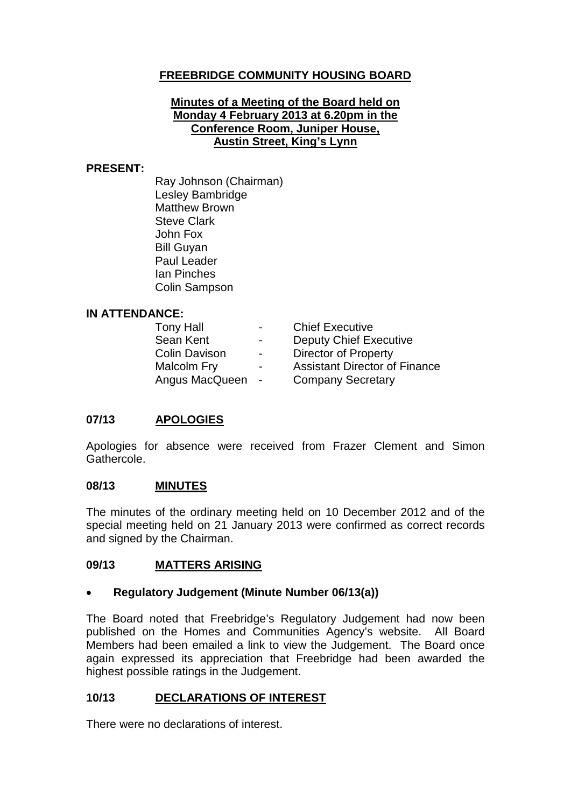# **FREEBRIDGE COMMUNITY HOUSING BOARD**

### **Minutes of a Meeting of the Board held on Monday 4 February 2013 at 6.20pm in the Conference Room, Juniper House, Austin Street, King's Lynn**

#### **PRESENT:**

Ray Johnson (Chairman) Lesley Bambridge Matthew Brown Steve Clark John Fox Bill Guyan Paul Leader Ian Pinches Colin Sampson

### **IN ATTENDANCE:**

| <b>Tony Hall</b>     | $\blacksquare$ | <b>Chief Executive</b>               |
|----------------------|----------------|--------------------------------------|
| Sean Kent            | $\blacksquare$ | <b>Deputy Chief Executive</b>        |
| <b>Colin Davison</b> | $\blacksquare$ | <b>Director of Property</b>          |
| Malcolm Fry          | $\sim$         | <b>Assistant Director of Finance</b> |
| Angus MacQueen       | $\blacksquare$ | <b>Company Secretary</b>             |

### **07/13 APOLOGIES**

Apologies for absence were received from Frazer Clement and Simon Gathercole.

### **08/13 MINUTES**

The minutes of the ordinary meeting held on 10 December 2012 and of the special meeting held on 21 January 2013 were confirmed as correct records and signed by the Chairman.

### **09/13 MATTERS ARISING**

### • **Regulatory Judgement (Minute Number 06/13(a))**

The Board noted that Freebridge's Regulatory Judgement had now been published on the Homes and Communities Agency's website. All Board Members had been emailed a link to view the Judgement. The Board once again expressed its appreciation that Freebridge had been awarded the highest possible ratings in the Judgement.

# **10/13 DECLARATIONS OF INTEREST**

There were no declarations of interest.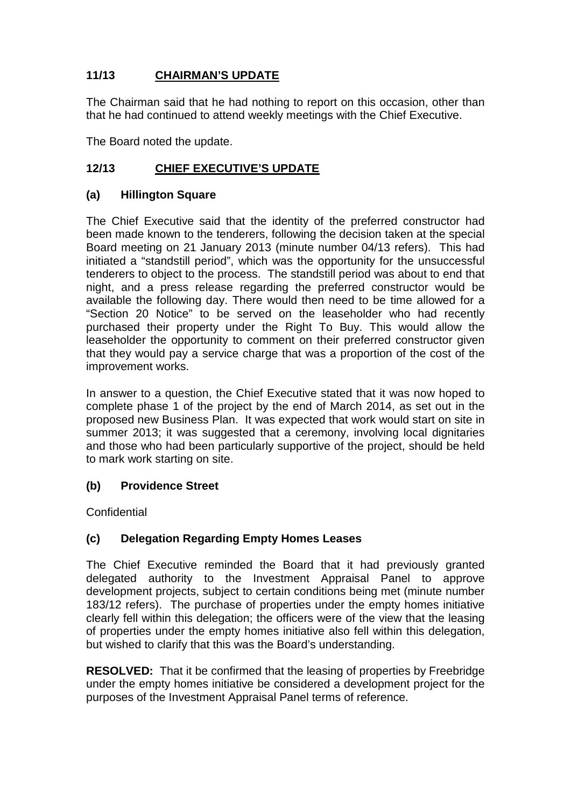# **11/13 CHAIRMAN'S UPDATE**

The Chairman said that he had nothing to report on this occasion, other than that he had continued to attend weekly meetings with the Chief Executive.

The Board noted the update.

## **12/13 CHIEF EXECUTIVE'S UPDATE**

### **(a) Hillington Square**

The Chief Executive said that the identity of the preferred constructor had been made known to the tenderers, following the decision taken at the special Board meeting on 21 January 2013 (minute number 04/13 refers). This had initiated a "standstill period", which was the opportunity for the unsuccessful tenderers to object to the process. The standstill period was about to end that night, and a press release regarding the preferred constructor would be available the following day. There would then need to be time allowed for a "Section 20 Notice" to be served on the leaseholder who had recently purchased their property under the Right To Buy. This would allow the leaseholder the opportunity to comment on their preferred constructor given that they would pay a service charge that was a proportion of the cost of the improvement works.

In answer to a question, the Chief Executive stated that it was now hoped to complete phase 1 of the project by the end of March 2014, as set out in the proposed new Business Plan. It was expected that work would start on site in summer 2013; it was suggested that a ceremony, involving local dignitaries and those who had been particularly supportive of the project, should be held to mark work starting on site.

### **(b) Providence Street**

**Confidential** 

# **(c) Delegation Regarding Empty Homes Leases**

The Chief Executive reminded the Board that it had previously granted delegated authority to the Investment Appraisal Panel to approve development projects, subject to certain conditions being met (minute number 183/12 refers). The purchase of properties under the empty homes initiative clearly fell within this delegation; the officers were of the view that the leasing of properties under the empty homes initiative also fell within this delegation, but wished to clarify that this was the Board's understanding.

**RESOLVED:** That it be confirmed that the leasing of properties by Freebridge under the empty homes initiative be considered a development project for the purposes of the Investment Appraisal Panel terms of reference.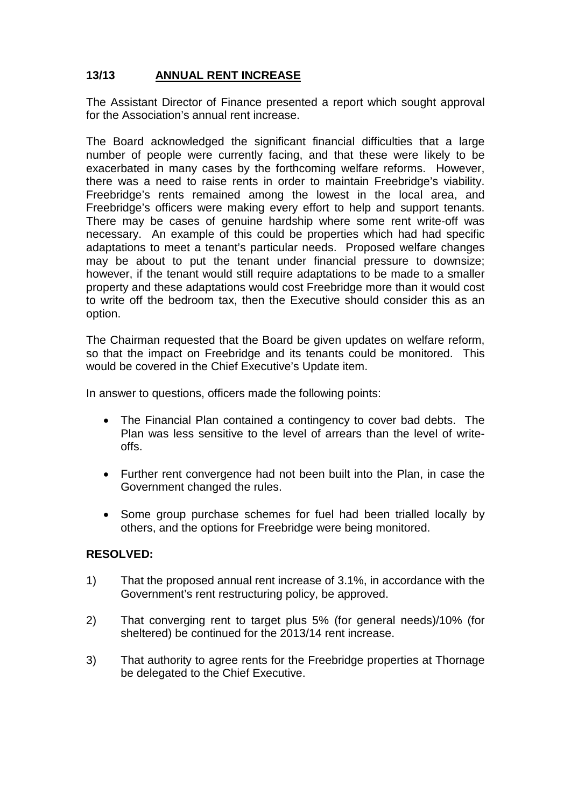# **13/13 ANNUAL RENT INCREASE**

The Assistant Director of Finance presented a report which sought approval for the Association's annual rent increase.

The Board acknowledged the significant financial difficulties that a large number of people were currently facing, and that these were likely to be exacerbated in many cases by the forthcoming welfare reforms. However, there was a need to raise rents in order to maintain Freebridge's viability. Freebridge's rents remained among the lowest in the local area, and Freebridge's officers were making every effort to help and support tenants. There may be cases of genuine hardship where some rent write-off was necessary. An example of this could be properties which had had specific adaptations to meet a tenant's particular needs. Proposed welfare changes may be about to put the tenant under financial pressure to downsize; however, if the tenant would still require adaptations to be made to a smaller property and these adaptations would cost Freebridge more than it would cost to write off the bedroom tax, then the Executive should consider this as an option.

The Chairman requested that the Board be given updates on welfare reform, so that the impact on Freebridge and its tenants could be monitored. This would be covered in the Chief Executive's Update item.

In answer to questions, officers made the following points:

- The Financial Plan contained a contingency to cover bad debts. The Plan was less sensitive to the level of arrears than the level of writeoffs.
- Further rent convergence had not been built into the Plan, in case the Government changed the rules.
- Some group purchase schemes for fuel had been trialled locally by others, and the options for Freebridge were being monitored.

### **RESOLVED:**

- 1) That the proposed annual rent increase of 3.1%, in accordance with the Government's rent restructuring policy, be approved.
- 2) That converging rent to target plus 5% (for general needs)/10% (for sheltered) be continued for the 2013/14 rent increase.
- 3) That authority to agree rents for the Freebridge properties at Thornage be delegated to the Chief Executive.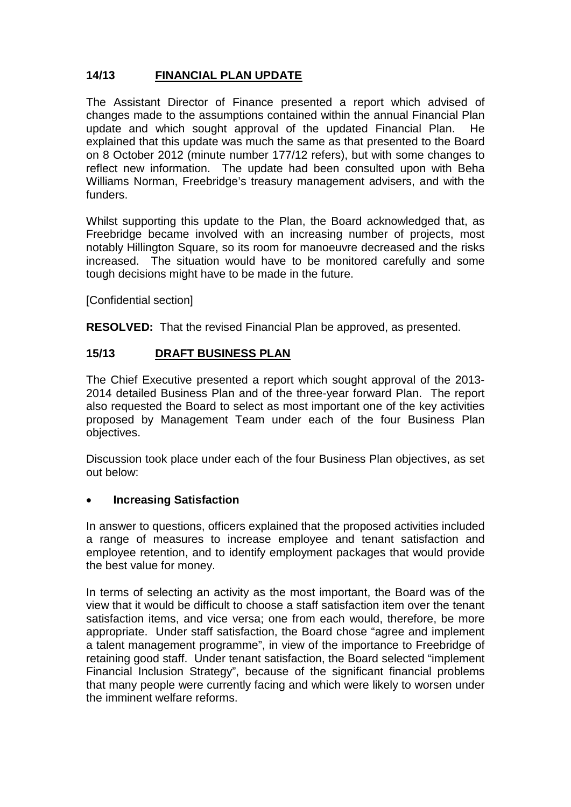# **14/13 FINANCIAL PLAN UPDATE**

The Assistant Director of Finance presented a report which advised of changes made to the assumptions contained within the annual Financial Plan update and which sought approval of the updated Financial Plan. He explained that this update was much the same as that presented to the Board on 8 October 2012 (minute number 177/12 refers), but with some changes to reflect new information. The update had been consulted upon with Beha Williams Norman, Freebridge's treasury management advisers, and with the funders.

Whilst supporting this update to the Plan, the Board acknowledged that, as Freebridge became involved with an increasing number of projects, most notably Hillington Square, so its room for manoeuvre decreased and the risks increased. The situation would have to be monitored carefully and some tough decisions might have to be made in the future.

[Confidential section]

**RESOLVED:** That the revised Financial Plan be approved, as presented.

## **15/13 DRAFT BUSINESS PLAN**

The Chief Executive presented a report which sought approval of the 2013- 2014 detailed Business Plan and of the three-year forward Plan. The report also requested the Board to select as most important one of the key activities proposed by Management Team under each of the four Business Plan objectives.

Discussion took place under each of the four Business Plan objectives, as set out below:

### • **Increasing Satisfaction**

In answer to questions, officers explained that the proposed activities included a range of measures to increase employee and tenant satisfaction and employee retention, and to identify employment packages that would provide the best value for money.

In terms of selecting an activity as the most important, the Board was of the view that it would be difficult to choose a staff satisfaction item over the tenant satisfaction items, and vice versa; one from each would, therefore, be more appropriate. Under staff satisfaction, the Board chose "agree and implement a talent management programme", in view of the importance to Freebridge of retaining good staff. Under tenant satisfaction, the Board selected "implement Financial Inclusion Strategy", because of the significant financial problems that many people were currently facing and which were likely to worsen under the imminent welfare reforms.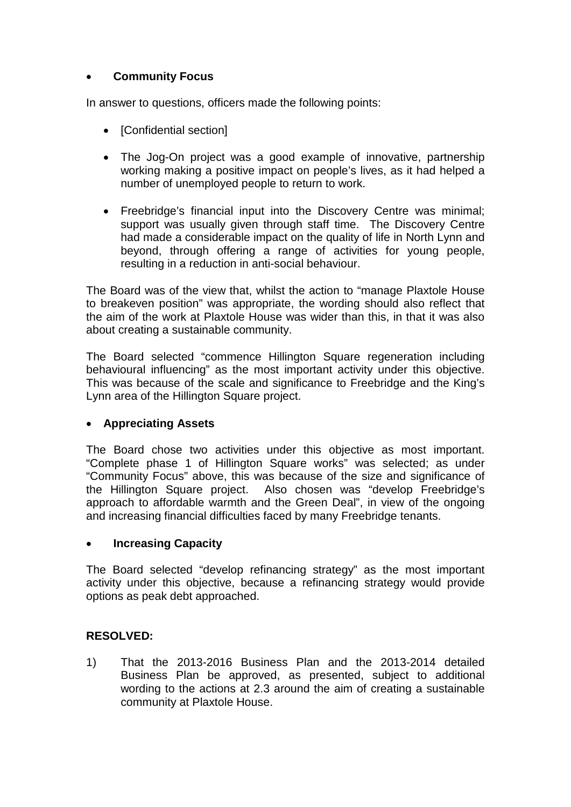# • **Community Focus**

In answer to questions, officers made the following points:

- [Confidential section]
- The Jog-On project was a good example of innovative, partnership working making a positive impact on people's lives, as it had helped a number of unemployed people to return to work.
- Freebridge's financial input into the Discovery Centre was minimal; support was usually given through staff time. The Discovery Centre had made a considerable impact on the quality of life in North Lynn and beyond, through offering a range of activities for young people, resulting in a reduction in anti-social behaviour.

The Board was of the view that, whilst the action to "manage Plaxtole House to breakeven position" was appropriate, the wording should also reflect that the aim of the work at Plaxtole House was wider than this, in that it was also about creating a sustainable community.

The Board selected "commence Hillington Square regeneration including behavioural influencing" as the most important activity under this objective. This was because of the scale and significance to Freebridge and the King's Lynn area of the Hillington Square project.

# • **Appreciating Assets**

The Board chose two activities under this objective as most important. "Complete phase 1 of Hillington Square works" was selected; as under "Community Focus" above, this was because of the size and significance of the Hillington Square project. Also chosen was "develop Freebridge's approach to affordable warmth and the Green Deal", in view of the ongoing and increasing financial difficulties faced by many Freebridge tenants.

### • **Increasing Capacity**

The Board selected "develop refinancing strategy" as the most important activity under this objective, because a refinancing strategy would provide options as peak debt approached.

# **RESOLVED:**

1) That the 2013-2016 Business Plan and the 2013-2014 detailed Business Plan be approved, as presented, subject to additional wording to the actions at 2.3 around the aim of creating a sustainable community at Plaxtole House.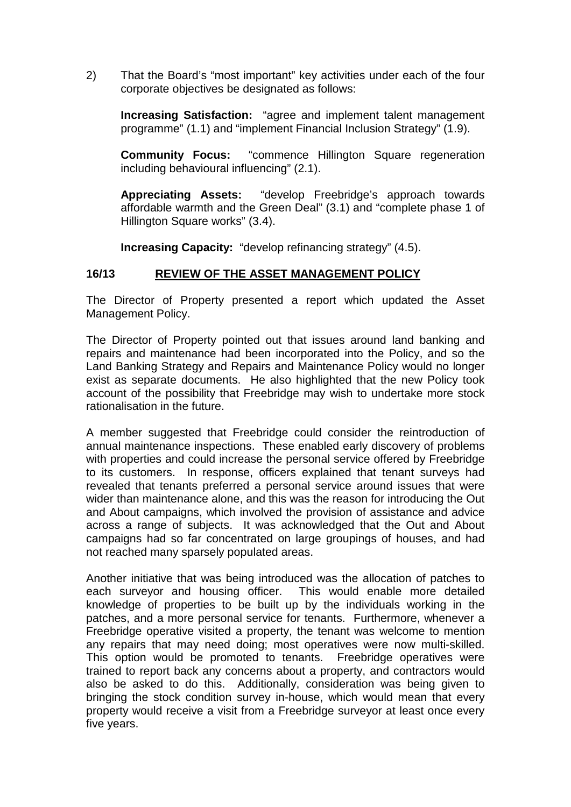2) That the Board's "most important" key activities under each of the four corporate objectives be designated as follows:

**Increasing Satisfaction:** "agree and implement talent management programme" (1.1) and "implement Financial Inclusion Strategy" (1.9).

**Community Focus:** "commence Hillington Square regeneration including behavioural influencing" (2.1).

**Appreciating Assets:** "develop Freebridge's approach towards affordable warmth and the Green Deal" (3.1) and "complete phase 1 of Hillington Square works" (3.4).

**Increasing Capacity:** "develop refinancing strategy" (4.5).

## **16/13 REVIEW OF THE ASSET MANAGEMENT POLICY**

The Director of Property presented a report which updated the Asset Management Policy.

The Director of Property pointed out that issues around land banking and repairs and maintenance had been incorporated into the Policy, and so the Land Banking Strategy and Repairs and Maintenance Policy would no longer exist as separate documents. He also highlighted that the new Policy took account of the possibility that Freebridge may wish to undertake more stock rationalisation in the future.

A member suggested that Freebridge could consider the reintroduction of annual maintenance inspections. These enabled early discovery of problems with properties and could increase the personal service offered by Freebridge to its customers. In response, officers explained that tenant surveys had revealed that tenants preferred a personal service around issues that were wider than maintenance alone, and this was the reason for introducing the Out and About campaigns, which involved the provision of assistance and advice across a range of subjects. It was acknowledged that the Out and About campaigns had so far concentrated on large groupings of houses, and had not reached many sparsely populated areas.

Another initiative that was being introduced was the allocation of patches to each surveyor and housing officer. This would enable more detailed knowledge of properties to be built up by the individuals working in the patches, and a more personal service for tenants. Furthermore, whenever a Freebridge operative visited a property, the tenant was welcome to mention any repairs that may need doing; most operatives were now multi-skilled. This option would be promoted to tenants. Freebridge operatives were trained to report back any concerns about a property, and contractors would also be asked to do this. Additionally, consideration was being given to bringing the stock condition survey in-house, which would mean that every property would receive a visit from a Freebridge surveyor at least once every five years.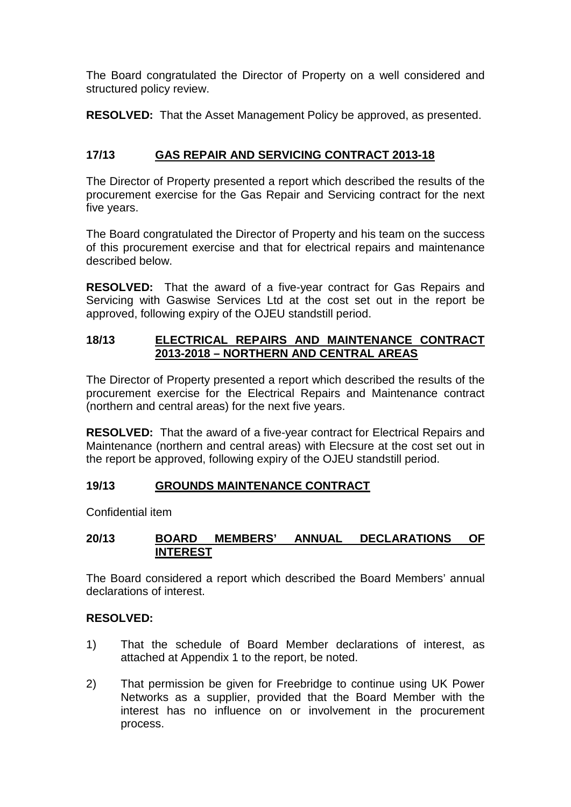The Board congratulated the Director of Property on a well considered and structured policy review.

**RESOLVED:** That the Asset Management Policy be approved, as presented.

# **17/13 GAS REPAIR AND SERVICING CONTRACT 2013-18**

The Director of Property presented a report which described the results of the procurement exercise for the Gas Repair and Servicing contract for the next five years.

The Board congratulated the Director of Property and his team on the success of this procurement exercise and that for electrical repairs and maintenance described below.

**RESOLVED:** That the award of a five-year contract for Gas Repairs and Servicing with Gaswise Services Ltd at the cost set out in the report be approved, following expiry of the OJEU standstill period.

## **18/13 ELECTRICAL REPAIRS AND MAINTENANCE CONTRACT 2013-2018 – NORTHERN AND CENTRAL AREAS**

The Director of Property presented a report which described the results of the procurement exercise for the Electrical Repairs and Maintenance contract (northern and central areas) for the next five years.

**RESOLVED:** That the award of a five-year contract for Electrical Repairs and Maintenance (northern and central areas) with Elecsure at the cost set out in the report be approved, following expiry of the OJEU standstill period.

# **19/13 GROUNDS MAINTENANCE CONTRACT**

Confidential item

### **20/13 BOARD MEMBERS' ANNUAL DECLARATIONS OF INTEREST**

The Board considered a report which described the Board Members' annual declarations of interest.

### **RESOLVED:**

- 1) That the schedule of Board Member declarations of interest, as attached at Appendix 1 to the report, be noted.
- 2) That permission be given for Freebridge to continue using UK Power Networks as a supplier, provided that the Board Member with the interest has no influence on or involvement in the procurement process.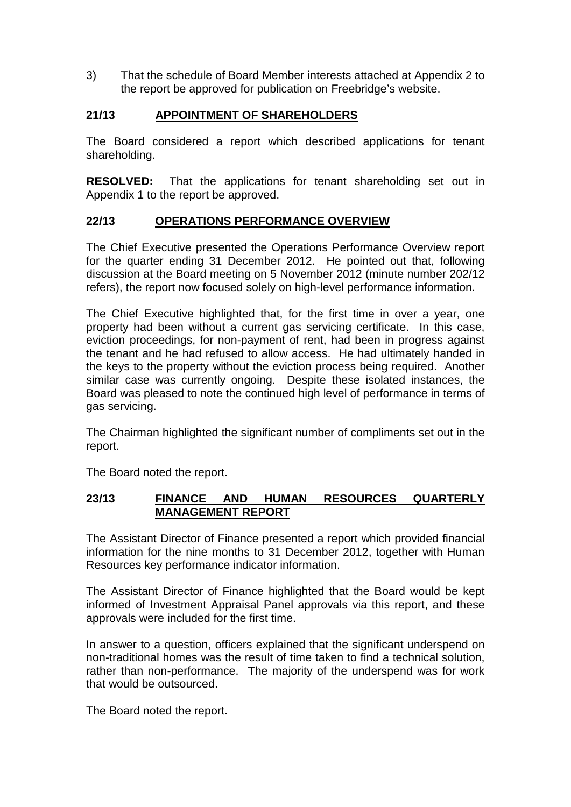3) That the schedule of Board Member interests attached at Appendix 2 to the report be approved for publication on Freebridge's website.

# **21/13 APPOINTMENT OF SHAREHOLDERS**

The Board considered a report which described applications for tenant shareholding.

**RESOLVED:** That the applications for tenant shareholding set out in Appendix 1 to the report be approved.

## **22/13 OPERATIONS PERFORMANCE OVERVIEW**

The Chief Executive presented the Operations Performance Overview report for the quarter ending 31 December 2012. He pointed out that, following discussion at the Board meeting on 5 November 2012 (minute number 202/12 refers), the report now focused solely on high-level performance information.

The Chief Executive highlighted that, for the first time in over a year, one property had been without a current gas servicing certificate. In this case, eviction proceedings, for non-payment of rent, had been in progress against the tenant and he had refused to allow access. He had ultimately handed in the keys to the property without the eviction process being required. Another similar case was currently ongoing. Despite these isolated instances, the Board was pleased to note the continued high level of performance in terms of gas servicing.

The Chairman highlighted the significant number of compliments set out in the report.

The Board noted the report.

## **23/13 FINANCE AND HUMAN RESOURCES QUARTERLY MANAGEMENT REPORT**

The Assistant Director of Finance presented a report which provided financial information for the nine months to 31 December 2012, together with Human Resources key performance indicator information.

The Assistant Director of Finance highlighted that the Board would be kept informed of Investment Appraisal Panel approvals via this report, and these approvals were included for the first time.

In answer to a question, officers explained that the significant underspend on non-traditional homes was the result of time taken to find a technical solution, rather than non-performance. The majority of the underspend was for work that would be outsourced.

The Board noted the report.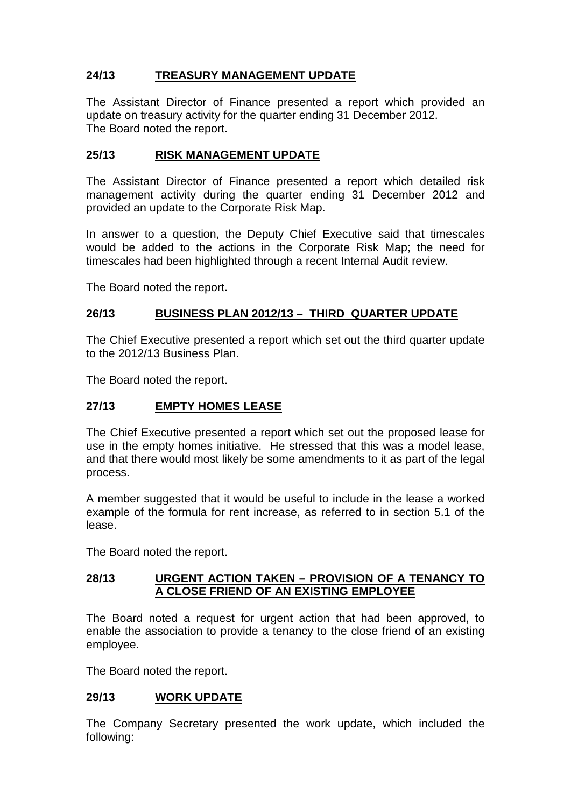# **24/13 TREASURY MANAGEMENT UPDATE**

The Assistant Director of Finance presented a report which provided an update on treasury activity for the quarter ending 31 December 2012. The Board noted the report.

## **25/13 RISK MANAGEMENT UPDATE**

The Assistant Director of Finance presented a report which detailed risk management activity during the quarter ending 31 December 2012 and provided an update to the Corporate Risk Map.

In answer to a question, the Deputy Chief Executive said that timescales would be added to the actions in the Corporate Risk Map; the need for timescales had been highlighted through a recent Internal Audit review.

The Board noted the report.

### **26/13 BUSINESS PLAN 2012/13 – THIRD QUARTER UPDATE**

The Chief Executive presented a report which set out the third quarter update to the 2012/13 Business Plan.

The Board noted the report.

### **27/13 EMPTY HOMES LEASE**

The Chief Executive presented a report which set out the proposed lease for use in the empty homes initiative. He stressed that this was a model lease, and that there would most likely be some amendments to it as part of the legal process.

A member suggested that it would be useful to include in the lease a worked example of the formula for rent increase, as referred to in section 5.1 of the lease.

The Board noted the report.

### **28/13 URGENT ACTION TAKEN – PROVISION OF A TENANCY TO A CLOSE FRIEND OF AN EXISTING EMPLOYEE**

The Board noted a request for urgent action that had been approved, to enable the association to provide a tenancy to the close friend of an existing employee.

The Board noted the report.

### **29/13 WORK UPDATE**

The Company Secretary presented the work update, which included the following: